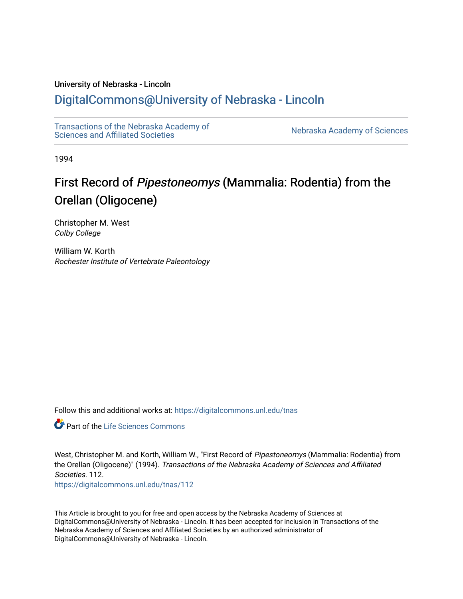# University of Nebraska - Lincoln

# [DigitalCommons@University of Nebraska - Lincoln](https://digitalcommons.unl.edu/)

[Transactions of the Nebraska Academy of](https://digitalcommons.unl.edu/tnas)  Transactions of the Nebraska Academy of Sciences<br>Sciences and Affiliated Societies

1994

# First Record of Pipestoneomys (Mammalia: Rodentia) from the Orellan (Oligocene)

Christopher M. West Colby College

William W. Korth Rochester Institute of Vertebrate Paleontology

Follow this and additional works at: [https://digitalcommons.unl.edu/tnas](https://digitalcommons.unl.edu/tnas?utm_source=digitalcommons.unl.edu%2Ftnas%2F112&utm_medium=PDF&utm_campaign=PDFCoverPages) 

**C** Part of the Life Sciences Commons

West, Christopher M. and Korth, William W., "First Record of Pipestoneomys (Mammalia: Rodentia) from the Orellan (Oligocene)" (1994). Transactions of the Nebraska Academy of Sciences and Affiliated Societies. 112. [https://digitalcommons.unl.edu/tnas/112](https://digitalcommons.unl.edu/tnas/112?utm_source=digitalcommons.unl.edu%2Ftnas%2F112&utm_medium=PDF&utm_campaign=PDFCoverPages) 

This Article is brought to you for free and open access by the Nebraska Academy of Sciences at DigitalCommons@University of Nebraska - Lincoln. It has been accepted for inclusion in Transactions of the Nebraska Academy of Sciences and Affiliated Societies by an authorized administrator of DigitalCommons@University of Nebraska - Lincoln.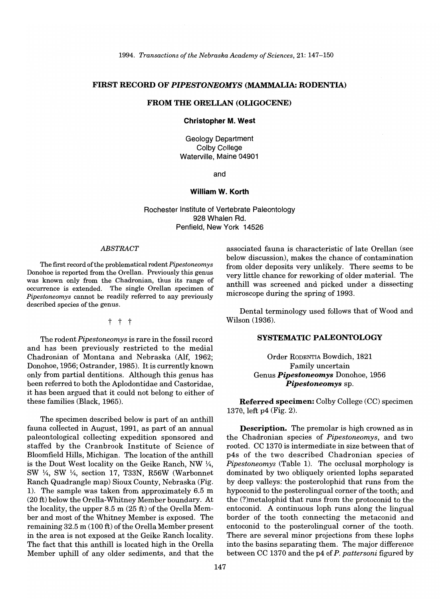*1994. Transactions of the Nebraska Academy of Sciences,* 21: 147-150

# FIRST RECORD OF *PIPESTONEOMYS* (MAMMALIA: RODENTIA)

# FROM THE ORELLAN (OLIGOCENE)

#### Christopher M. West

Geology Department Colby College Waterville, Maine 04901

and

#### William W. Korth

Rochester Institute of Vertebrate Paleontology 928 Whalen Rd. Penfield, New York 14526

#### *ABSTRACT*

The first record of the problematical rodent *Pipestoneomys* Donohoe is reported from the Orellan. Previously this genus was known only from the Chadronian, thus its range of occurrence is extended. The single Orellan specimen of *Pipestoneomys* cannot be readily referred to any previously described species of the genus.

t t t

The rodent *Pipestoneomys* is rare in the fossil record and has been previously restricted to the medial Chadronian of Montana and Nebraska (Alf, 1962; Donohoe, 1956; Ostrander, 1985). It is currently known only from partial dentitions. Although this genus has been referred to both the Aplodontidae and Castoridae, it has been argued that it could not belong to either of these families (Black, 1965).

The specimen described below is part of an anthill fauna collected in August, 1991, as part of an annual paleontological collecting expedition sponsored and staffed by the Cranbrook Institute of Science of Bloomfield Hills, Michigan. The location of the anthill is the Dout West locality on the Geike Ranch, NW  $\frac{1}{4}$ , SW 1/4, SW 1/4, section 17, T33N, R56W (Warbonnet Ranch Quadrangle map) Sioux County, Nebraska (Fig. 1). The sample was taken from approximately 6.5 m (20 ft) below the Orella-Whitney Member boundary. At the locality, the upper 8.5 m (25 ft) of the Orella Member and most of the Whitney Member is exposed. The remaining 32.5 m (100 ft) of the Orella Member present in the area is not exposed at the Geike Ranch locality. The fact that this anthill is located high in the Orella Member uphill of any older sediments, and that the associated fauna is characteristic of late Orellan (see below discussion), makes the chance of contamination from older deposits very unlikely. There seems to be very little chance for reworking of older material. The anthill was screened and picked under a dissecting microscope during the spring of 1993.

Dental terminology used follows that of Wood and Wilson (1936).

## SYSTEMATIC PALEONTOLOGY

Order RODENTIA Bowdich, 1821 Family uncertain Genus *Pipestoneomys* Donohoe, 1956 *Pipestoneomys* sp.

Referred specimen: Colby College (CC) specimen 1370, left p4 (Fig. 2).

Description. The premolar is high crowned as in the Chadronian species of *Pipestoneomys,* and two rooted. CC 1370 is intermediate in size between that of p4s of the two described Chadronian species of *Pipestoneomys* (Table 1). The occlusal morphology is dominated by two obliquely oriented lophs separated by deep valleys: the posterolophid that runs from the hypoconid to the posterolingual corner of the tooth; and the (?)metalophid that runs from the protoconid to the entoconid. A continuous loph runs along the lingual border of the tooth connecting the metaconid and entoconid to the posterolingual corner of the tooth. There are several minor projections from these lophs into the basins separating them. The major difference between CC 1370 and the p4 of *P. pattersoni* figured by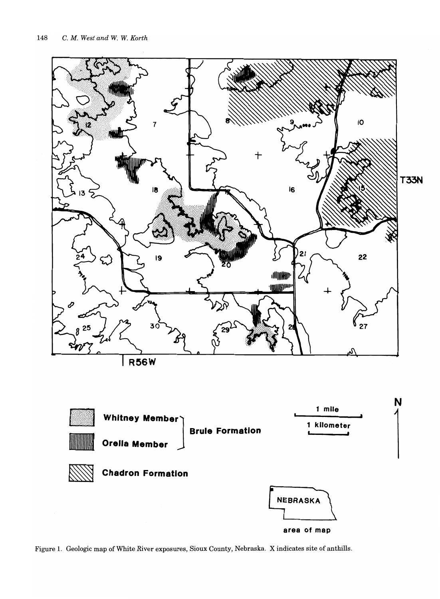

Figure 1. Geologic map of White River exposures, Sioux County, Nebraska. X indicates site of anthills.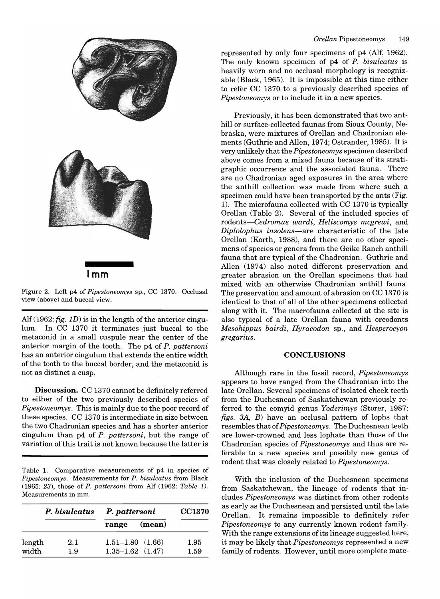

**Imm** 

Figure 2. Left p4 of *Pipestoneomys* sp., CC 1370. Occlusal view (above) and buccal view.

Alf(1962: *fig. 1D)* is in the length of the anterior cingulum. In CC 1370 it terminates just buccal to the metaconid in a small cuspule near the center of the anterior margin of the tooth. The p4 of *P. pattersoni*  has an anterior cingulum that extends the entire width of the tooth to the buccal border, and the metaconid is not as distinct a cusp.

**Discussion.** CC 1370 cannot be definitely referred to either of the two previously described species of *Pipestoneomys.* This is mainly due to the poor record of these species. CC 1370 is intermediate in size between the two Chadronian species and has a shorter anterior cingulum than p4 of *P. pattersoni,* but the range of variation ofthis trait is not known because the latter is

Table 1. Comparative measurements of p4 in species of *Pipestoneomys.* Measurements for *P. bisulcatus* from Black (1965: 23), those of *P. pattersoni* from Alf (1962: *Table 1).*  Measurements in mm.

|                 | P. bisulcatus | P. pattersoni                                    | <b>CC1370</b> |
|-----------------|---------------|--------------------------------------------------|---------------|
|                 |               | (mean)<br>range                                  |               |
| length<br>width | 2.1<br>1.9    | $1.51 - 1.80$ $(1.66)$<br>$1.35 - 1.62$ $(1.47)$ | 1.95<br>1.59  |

represented by only four specimens of p4 (Alf, 1962). The only known specimen of p4 of *P. bisulcatus* is heavily worn and no occlusal morphology is recognizable (Black, 1965). It is impossible at this time either to refer CC 1370 to a previously described species of *Pipestoneomys* or to include it in a new species.

Previously, it has been demonstrated that two anthill or surface-collected faunas from Sioux County, Nebraska, were mixtures of Orellan and Chadronian elements (Guthrie and Allen, 1974; Ostrander, 1985). It is very unlikely that the *Pipestoneomys* specimen described above comes from a mixed fauna because of its stratigraphic occurrence and the associated fauna. There are no Chadronian aged exposures in the area where the anthill collection was made from where such a specimen could have been transported by the ants (Fig. 1). The microfauna collected with CC 1370 is typically Orellan (Table 2). Several of the included species of *rodents-Cedromus wardi, Heliscomys mcgrewi,* and *Diplolophus insolens-are* characteristic of the late Orellan (Korth, 1988), and there are no other specimens of species or genera from the Geike Ranch anthill fauna that are typical of the Chadronian. Guthrie and Allen (1974) also noted different preservation and greater abrasion on the Orellan specimens that had mixed with an otherwise Chadronian anthill fauna. The preservation and amount of abrasion on CC 1370 is identical to that of all of the other specimens collected along with it. The macrofauna collected at the site is also typical of a late Orellan fauna with oreodonts *Mesohippus bairdi, Hyracodon* sp., and *Hesperocyon gregarius.* 

#### **CONCLUSIONS**

Although rare in the fossil record, *Pipestoneomys*  appears to have ranged from the Chadronian into the late Orellan. Several specimens of isolated cheek teeth from the Duchesnean of Saskatchewan previously referred to the eomyid genus *Yoderimys* (Storer, 1987: *figs. 3A,* B) have an occlusal pattern of lophs that resembles that of *Pipestoneomys.* The Duchesnean teeth are lower-crowned and less lophate than those of the Chadronian species of *Pipestoneomys* and thus are referable to a new species and possibly new genus of rodent that was closely related to *Pipestoneomys.* 

With the inclusion of the Duchesnean specimens from Saskatchewan, the lineage of rodents that includes *Pipestoneomys* was distinct from other rodents as early as the Duchesnean and persisted until the late Orellan. It remains impossible to definitely refer *Pipestoneomys* to any currently known rodent family. With the range extensions of its lineage suggested here, it may be likely that *Pipestoneomys* represented a new family of rodents. However, until more complete mate